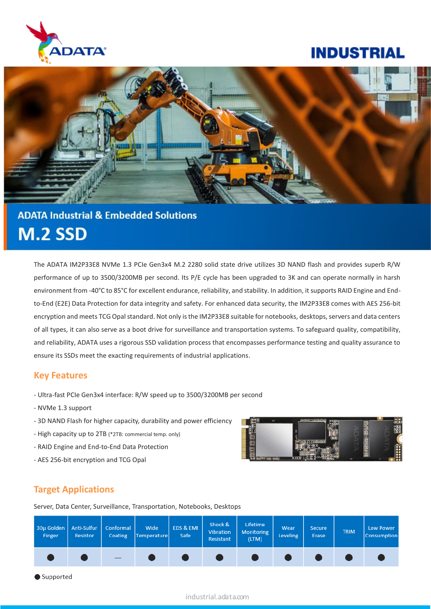

# **INDUSTRIAL**



# **ADATA Industrial & Embedded Solutions M.2 SSD**

The ADATA IM2P33E8 NVMe 1.3 PCIe Gen3x4 M.2 2280 solid state drive utilizes 3D NAND flash and provides superb R/W performance of up to 3500/3200MB per second. Its P/E cycle has been upgraded to 3K and can operate normally in harsh environment from -40°C to 85°C for excellent endurance, reliability, and stability. In addition, it supports RAID Engine and Endto-End (E2E) Data Protection for data integrity and safety. For enhanced data security, the IM2P33E8 comes with AES 256-bit encryption and meets TCG Opal standard. Not only is the IM2P33E8 suitable for notebooks, desktops, servers and data centers of all types, it can also serve as a boot drive for surveillance and transportation systems. To safeguard quality, compatibility, and reliability, ADATA uses a rigorous SSD validation process that encompasses performance testing and quality assurance to ensure its SSDs meet the exacting requirements of industrial applications.

### **Key Features**

- Ultra-fast PCIe Gen3x4 interface: R/W speed up to 3500/3200MB per second
- NVMe 1.3 support
- 3D NAND Flash for higher capacity, durability and power efficiency
- High capacity up to 2TB (\*2TB: commercial temp. only)
- RAID Engine and End-to-End Data Protection
- AES 256-bit encryption and TCG Opal



# **Target Applications**

Server, Data Center, Surveillance, Transportation, Notebooks, Desktops



Supported

#### industrial.adata.com